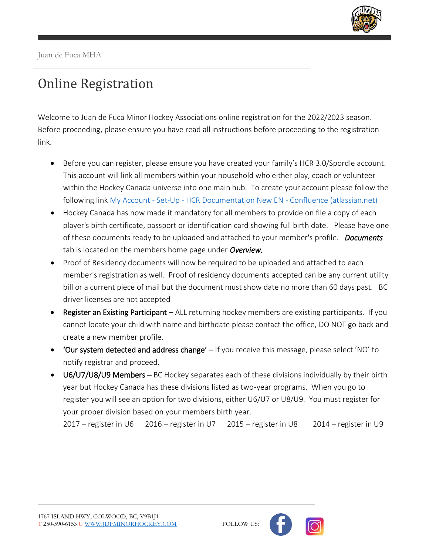

## Online Registration

Welcome to Juan de Fuca Minor Hockey Associations online registration for the 2022/2023 season. Before proceeding, please ensure you have read all instructions before proceeding to the registration link.

- Before you can register, please ensure you have created your family's HCR 3.0/Spordle account. This account will link all members within your household who either play, coach or volunteer within the Hockey Canada universe into one main hub. To create your account please follow the following link My Account - Set-Up - [HCR Documentation New EN -](https://spordle.atlassian.net/wiki/spaces/HDNE/pages/2399535160/My+Account+-+Set-Up) Confluence (atlassian.net)
- Hockey Canada has now made it mandatory for all members to provide on file a copy of each player's birth certificate, passport or identification card showing full birth date. Please have one of these documents ready to be uploaded and attached to your member's profile. *Documents* tab is located on the members home page under *Overview.*
- Proof of Residency documents will now be required to be uploaded and attached to each member's registration as well. Proof of residency documents accepted can be any current utility bill or a current piece of mail but the document must show date no more than 60 days past. BC driver licenses are not accepted
- Register an Existing Participant ALL returning hockey members are existing participants. If you cannot locate your child with name and birthdate please contact the office, DO NOT go back and create a new member profile.
- 'Our system detected and address change' If you receive this message, please select 'NO' to notify registrar and proceed.
- U6/U7/U8/U9 Members BC Hockey separates each of these divisions individually by their birth year but Hockey Canada has these divisions listed as two-year programs. When you go to register you will see an option for two divisions, either U6/U7 or U8/U9. You must register for your proper division based on your members birth year.

2017 – register in U6 2016 – register in U7 2015 – register in U8 2014 – register in U9